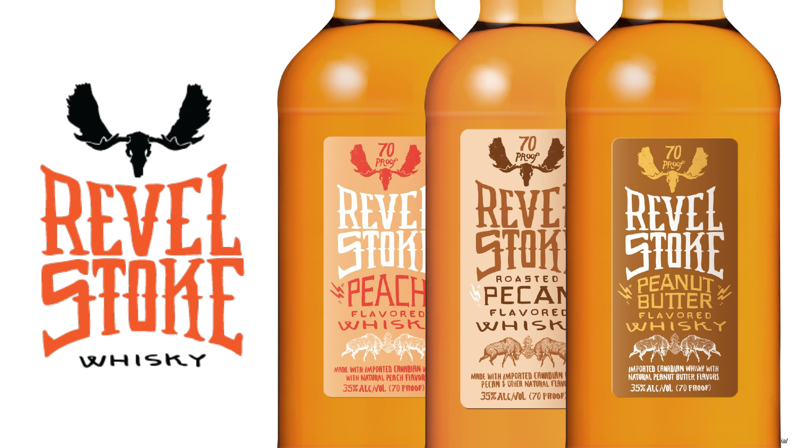

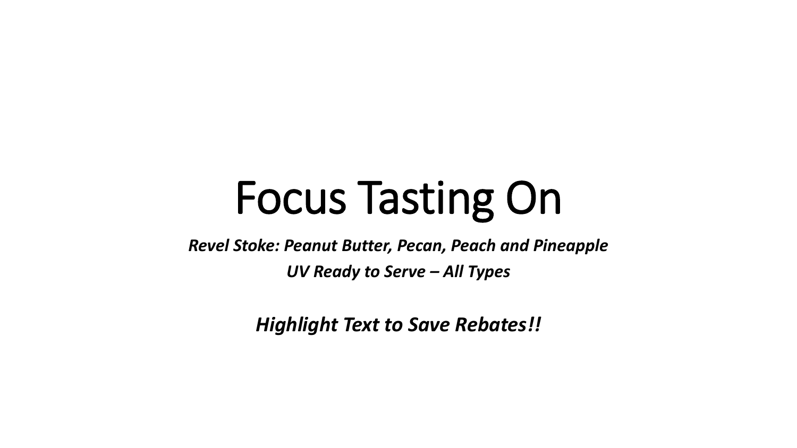# Focus Tasting On

*Revel Stoke: Peanut Butter, Pecan, Peach and Pineapple*

*UV Ready to Serve – All Types* 

*Highlight Text to Save Rebates!!*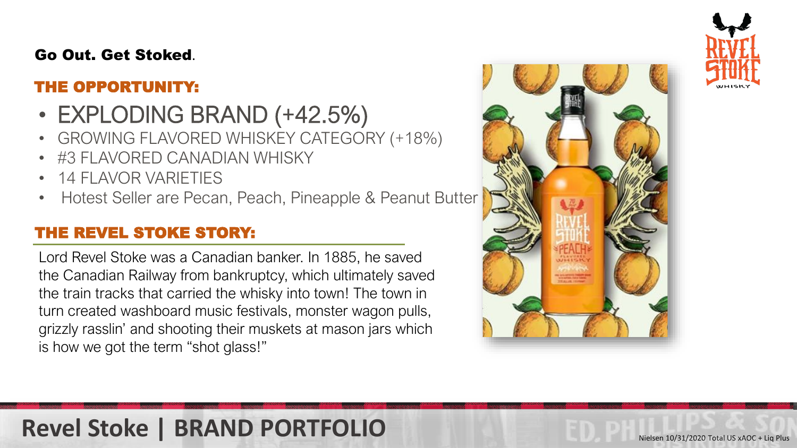### Go Out. Get Stoked.

### THE OPPORTUNITY:

- EXPLODING BRAND (+42.5%)
- GROWING FLAVORED WHISKEY CATEGORY (+18%)
- #3 FLAVORED CANADIAN WHISKY
- 14 FLAVOR VARIETIES
- Hotest Seller are Pecan, Peach, Pineapple & Peanut Butter

### THE REVEL STOKE STORY:

Lord Revel Stoke was a Canadian banker. In 1885, he saved the Canadian Railway from bankruptcy, which ultimately saved the train tracks that carried the whisky into town! The town in turn created washboard music festivals, monster wagon pulls, grizzly rasslin' and shooting their muskets at mason jars which is how we got the term "shot glass!"





# **Revel Stoke | BRAND PORTFOLIO**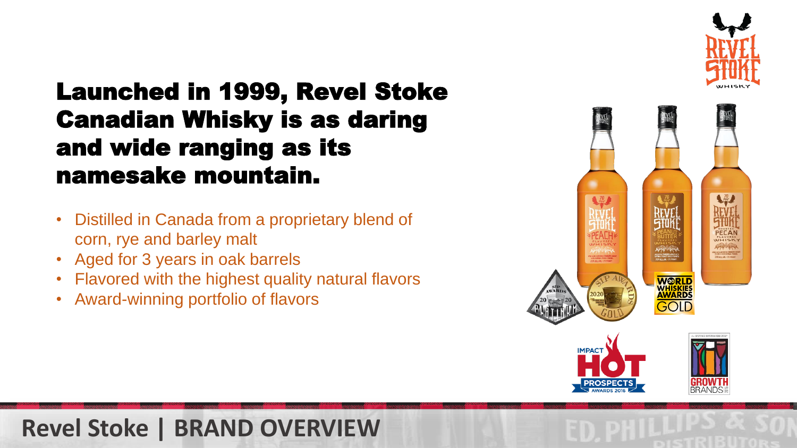

# Launched in 1999, Revel Stoke Canadian Whisky is as daring and wide ranging as its namesake mountain.

- Distilled in Canada from a proprietary blend of corn, rye and barley malt
- Aged for 3 years in oak barrels
- Flavored with the highest quality natural flavors
- Award-winning portfolio of flavors



## **Revel Stoke | BRAND OVERVIEW**